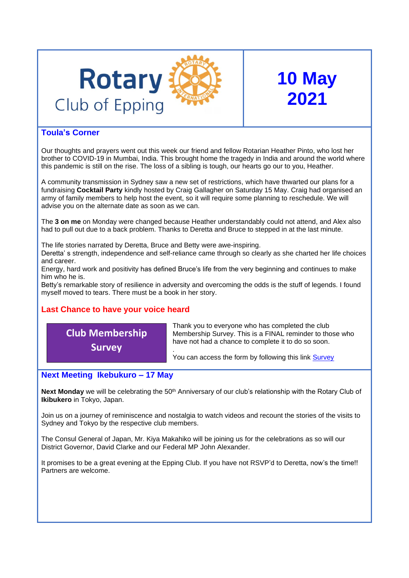

## **10 May 2021**

### **Toula's Corner**

Our thoughts and prayers went out this week our friend and fellow Rotarian Heather Pinto, who lost her brother to COVID-19 in Mumbai, India. This brought home the tragedy in India and around the world where this pandemic is still on the rise. The loss of a sibling is tough, our hearts go our to you, Heather.

A community transmission in Sydney saw a new set of restrictions, which have thwarted our plans for a fundraising **Cocktail Party** kindly hosted by Craig Gallagher on Saturday 15 May. Craig had organised an army of family members to help host the event, so it will require some planning to reschedule. We will advise you on the alternate date as soon as we can.

The **3 on me** on Monday were changed because Heather understandably could not attend, and Alex also had to pull out due to a back problem. Thanks to Deretta and Bruce to stepped in at the last minute.

The life stories narrated by Deretta, Bruce and Betty were awe-inspiring.

Deretta' s strength, independence and self-reliance came through so clearly as she charted her life choices and career.

Energy, hard work and positivity has defined Bruce's life from the very beginning and continues to make him who he is.

Betty's remarkable story of resilience in adversity and overcoming the odds is the stuff of legends. I found myself moved to tears. There must be a book in her story.

### **Last Chance to have your voice heard**

## **Club Membership Survey**

Thank you to everyone who has completed the club Membership Survey. This is a FINAL reminder to those who have not had a chance to complete it to do so soon.

. You can access the form by following this link [Survey](https://form.jotform.com/211100903682848)

### **Next Meeting Ikebukuro – 17 May**

Next Monday we will be celebrating the 50<sup>th</sup> Anniversary of our club's relationship with the Rotary Club of **Ikibukero** in Tokyo, Japan.

Join us on a journey of reminiscence and nostalgia to watch videos and recount the stories of the visits to Sydney and Tokyo by the respective club members.

The Consul General of Japan, Mr. Kiya Makahiko will be joining us for the celebrations as so will our District Governor, David Clarke and our Federal MP John Alexander.

It promises to be a great evening at the Epping Club. If you have not RSVP'd to Deretta, now's the time!! Partners are welcome.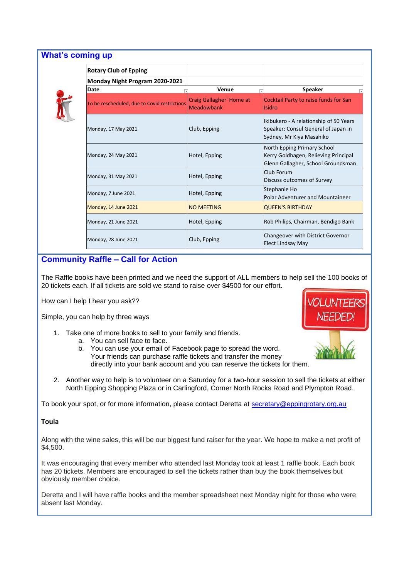### **What's coming up**



| <b>Rotary Club of Epping</b>                 |                                                      |                                                                                                           |
|----------------------------------------------|------------------------------------------------------|-----------------------------------------------------------------------------------------------------------|
| Monday Night Program 2020-2021               |                                                      |                                                                                                           |
| Date                                         | Venue                                                | <b>Speaker</b>                                                                                            |
| To be rescheduled, due to Covid restrictions | <b>Craig Gallagher' Home at</b><br><b>Meadowbank</b> | Cocktail Party to raise funds for San<br>Isidro                                                           |
| Monday, 17 May 2021                          | Club, Epping                                         | Ikibukero - A relationship of 50 Years<br>Speaker: Consul General of Japan in<br>Sydney, Mr Kiya Masahiko |
| Monday, 24 May 2021                          | Hotel, Epping                                        | North Epping Primary School<br>Kerry Goldhagen, Relieving Principal<br>Glenn Gallagher, School Groundsman |
| Monday, 31 May 2021                          | Hotel, Epping                                        | Club Forum<br>Discuss outcomes of Survey                                                                  |
| Monday, 7 June 2021                          | Hotel, Epping                                        | Stephanie Ho<br><b>Polar Adventurer and Mountaineer</b>                                                   |
| Monday, 14 June 2021                         | <b>NO MEETING</b>                                    | <b>QUEEN'S BIRTHDAY</b>                                                                                   |
| Monday, 21 June 2021                         | Hotel, Epping                                        | Rob Philips, Chairman, Bendigo Bank                                                                       |
| Monday, 28 June 2021                         | Club, Epping                                         | Changeover with District Governor<br>Elect Lindsay May                                                    |

### **Community Raffle – Call for Action**

The Raffle books have been printed and we need the support of ALL members to help sell the 100 books of 20 tickets each. If all tickets are sold we stand to raise over \$4500 for our effort.

How can I help I hear you ask??

Simple, you can help by three ways

- 1. Take one of more books to sell to your family and friends.
	- a. You can sell face to face.
	- b. You can use your email of Facebook page to spread the word. Your friends can purchase raffle tickets and transfer the money directly into your bank account and you can reserve the tickets for them.
- 2. Another way to help is to volunteer on a Saturday for a two-hour session to sell the tickets at either North Epping Shopping Plaza or in Carlingford, Corner North Rocks Road and Plympton Road.

To book your spot, or for more information, please contact Deretta at [secretary@eppingrotary.org.au](mailto:secretary@eppingrotary.org.au)

#### **Toula**

Along with the wine sales, this will be our biggest fund raiser for the year. We hope to make a net profit of \$4,500.

It was encouraging that every member who attended last Monday took at least 1 raffle book. Each book has 20 tickets. Members are encouraged to sell the tickets rather than buy the book themselves but obviously member choice.

Deretta and I will have raffle books and the member spreadsheet next Monday night for those who were absent last Monday.



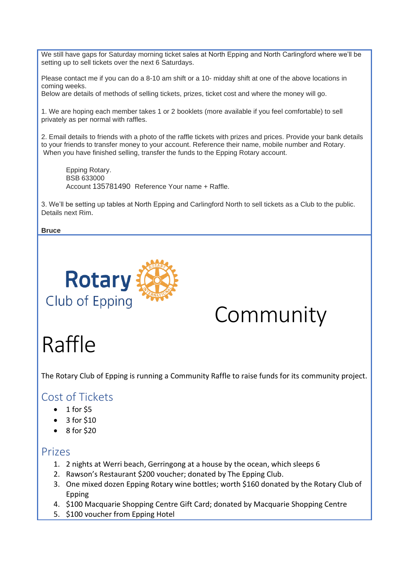We still have gaps for Saturday morning ticket sales at North Epping and North Carlingford where we'll be setting up to sell tickets over the next 6 Saturdays.

Please contact me if you can do a 8-10 am shift or a 10- midday shift at one of the above locations in coming weeks.

Below are details of methods of selling tickets, prizes, ticket cost and where the money will go.

1. We are hoping each member takes 1 or 2 booklets (more available if you feel comfortable) to sell privately as per normal with raffles.

2. Email details to friends with a photo of the raffle tickets with prizes and prices. Provide your bank details to your friends to transfer money to your account. Reference their name, mobile number and Rotary. When you have finished selling, transfer the funds to the Epping Rotary account.

Epping Rotary. BSB 633000 Account 135781490 Reference Your name + Raffle.

3. We'll be setting up tables at North Epping and Carlingford North to sell tickets as a Club to the public. Details next Rim.

**Bruce**



# Community

# Raffle

The Rotary Club of Epping is running a Community Raffle to raise funds for its community project.

### Cost of Tickets

- $\bullet$  1 for \$5
- 3 for \$10
- 8 for \$20

### Prizes

- 1. 2 nights at Werri beach, Gerringong at a house by the ocean, which sleeps 6
- 2. Rawson's Restaurant \$200 voucher; donated by The Epping Club.
- 3. One mixed dozen Epping Rotary wine bottles; worth \$160 donated by the Rotary Club of Epping
- 4. \$100 Macquarie Shopping Centre Gift Card; donated by Macquarie Shopping Centre
- 5. \$100 voucher from Epping Hotel